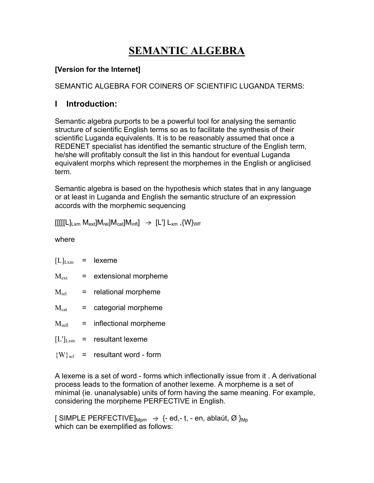# **SEMANTIC ALGEBRA**

#### **[Version for the Internet]**

SEMANTIC ALGEBRA FOR COINERS OF SCIENTIFIC LUGANDA TERMS:

# **I Introduction:**

Semantic algebra purports to be a powerful tool for analysing the semantic structure of scientific English terms so as to facilitate the synthesis of their scientific Luganda equivalents. It is to be reasonably assumed that once a REDENET specialist has identified the semantic structure of the English term, he/she will profitably consult the list in this handout for eventual Luganda equivalent morphs which represent the morphemes in the English or anglicised term.

Semantic algebra is based on the hypothesis which states that in any language or at least in Luganda and English the semantic structure of an expression accords with the morphemic sequencing

 $\text{H}\text{H}\text{H}\text{L}\text{L}_{\text{X}}$  M<sub>ext</sub> $\text{M}\text{H}\text{H}\text{C}_{\text{cat}}$   $\text{M}\text{H}\text{H}\text{H}\text{H}$   $\Rightarrow$   $\text{H}\text{L}\text{H}\text{L}_{\text{X}}$  ,  $\text{W}\text{H}\text{H}\text{H}$ 

where

| $[L]_{Lxm}$       | $=$ $-$ | lexeme                |
|-------------------|---------|-----------------------|
| $M_{\rm ext}$     | $=$     | extensional morpheme  |
| $M_{rel}$         | $=$ $-$ | relational morpheme   |
| $M_{cat}$         |         | categorial morpheme   |
| $M_{\text{infl}}$ | $=$     | inflectional morpheme |
| $[L']_{Lxm}$      | $=$     | resultant lexeme      |
| $\{W\}_{\rm wf}$  |         | resultant word - form |

A lexeme is a set of word - forms which inflectionally issue from it . A derivational process leads to the formation of another lexeme. A morpheme is a set of minimal (ie. unanalysable) units of form having the same meaning. For example, considering the morpheme PERFECTIVE in English.

[ SIMPLE PERFECTIVE]<sub>Mpm</sub>  $\Rightarrow$  {- ed,- t, - en, ablaút, Ø }<sub>Mp</sub> which can be exemplified as follows: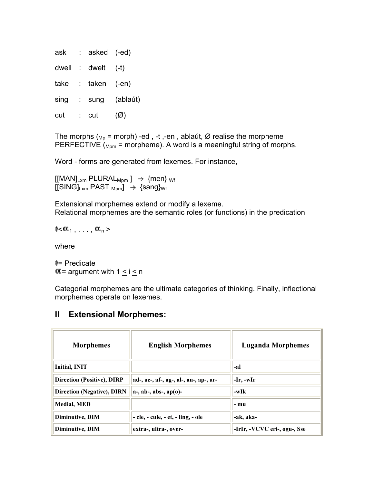| ask   |           | asked (-ed) |                 |
|-------|-----------|-------------|-----------------|
| dwell | $\sim 10$ | dwelt       | $(-t)$          |
| take  |           | taken (-en) |                 |
| sing  | - 11      | sung        | (ablaút)        |
| cut   |           | cut         | $(\varnothing)$ |

The morphs ( $_{Mp}$  = morph) -ed , -t ,-en , ablaút, Ø realise the morpheme PERFECTIVE  $(M_{pmp} = morpheme)$ . A word is a meaningful string of morphs.

Word - forms are generated from lexemes. For instance,

 $[[MAN]_{Lxm}$  PLURAL<sub>Mpm</sub>  $] \rightarrow \{$ men} <sub>Wf</sub>  $[[SING]_{Lxm}$  PAST  $_{Mpm}$   $\rightarrow$  {sang}<sub>Wf</sub>

Extensional morphemes extend or modify a lexeme. Relational morphemes are the semantic roles (or functions) in the predication

 $\approx \alpha_1, \ldots, \alpha_n$ 

where

= Predicate  $\alpha$  = argument with  $1 \le i \le n$ 

Categorial morphemes are the ultimate categories of thinking. Finally, inflectional morphemes operate on lexemes.

#### **II Extensional Morphemes:**

| <b>Morphemes</b>                  | <b>English Morphemes</b>               | <b>Luganda Morphemes</b>     |
|-----------------------------------|----------------------------------------|------------------------------|
| Initial, INIT                     |                                        | -al                          |
| <b>Direction (Positive), DIRP</b> | ad-, ac-, af-, ag-, al-, an-, ap-, ar- | -Ir, -wIr                    |
| <b>Direction (Negative), DIRN</b> | $a-, ab-, abs-, ap(o)$ -               | $-wIk$                       |
| <b>Medial, MED</b>                |                                        | - mu                         |
| Diminutive, DIM                   | - cle, - cule, - et, - ling, - ole     | -ak, aka-                    |
| Diminutive, DIM                   | extra-, ultra-, over-                  | -IrIr, -VCVC eri-, ogu-, Sse |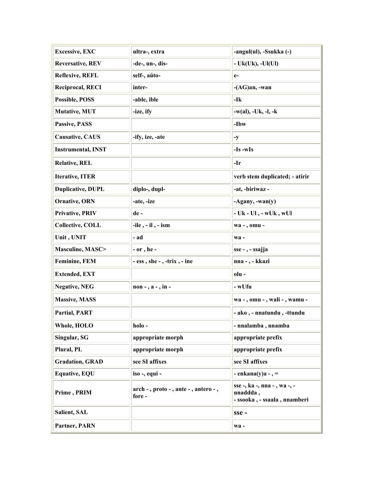| <b>Excessive, EXC</b>     | ultra-, extra                                    | -angul(ul), -Ssukka (-)                                                  |  |  |  |
|---------------------------|--------------------------------------------------|--------------------------------------------------------------------------|--|--|--|
| <b>Reversative, REV</b>   | -de-, un-, dis-                                  | - Uk(Uk), -Ul(Ul)                                                        |  |  |  |
| <b>Reflexive, REFL</b>    | self-, aúto-                                     | $e-$                                                                     |  |  |  |
| <b>Reciprocal, RECI</b>   | inter-                                           | -(AG)an, -wan                                                            |  |  |  |
| Possible, POSS            | -able, ible                                      | -Ik                                                                      |  |  |  |
| Mutative, MUT             | -ize, ify                                        | $-w(al)$ , $-Uk$ , $-l$ , $-k$                                           |  |  |  |
| Passive, PASS             |                                                  | -Ibw                                                                     |  |  |  |
| <b>Causative, CAUS</b>    | -ify, ize, -ate                                  | $-y$                                                                     |  |  |  |
| <b>Instrumental, INST</b> |                                                  | $-Is$ -wIs                                                               |  |  |  |
| <b>Relative, REL</b>      |                                                  | -Ir                                                                      |  |  |  |
| <b>Iterative, ITER</b>    |                                                  | verb stem duplicated; - atirir                                           |  |  |  |
| <b>Duplicative, DUPL</b>  | diplo-, dupl-                                    | -at, -biriwaz -                                                          |  |  |  |
| <b>Ornative, ORN</b>      | -ate, -ize                                       | $-Agany, -wan(y)$                                                        |  |  |  |
| Privative, PRIV           | de-                                              | - Uk - Ul , - wUk , wUl                                                  |  |  |  |
| <b>Collective, COLL</b>   | $-$ ile, $-$ il, $-$ ism                         | wa - , omu -                                                             |  |  |  |
| Unit, UNIT                | - ad                                             | $wa -$                                                                   |  |  |  |
| Masculine, MASC>          | - or , he -<br>sse - , - ssajja                  |                                                                          |  |  |  |
| <b>Feminine, FEM</b>      | - ess, she -, -trix, - ine                       | nna - , - kkazi                                                          |  |  |  |
| <b>Extended, EXT</b>      |                                                  | olu -                                                                    |  |  |  |
| <b>Negative, NEG</b>      | $non-, a-, in$                                   | - wUfu                                                                   |  |  |  |
| <b>Massive, MASS</b>      |                                                  | wa - , omu - , wali - , wamu -                                           |  |  |  |
| Partial, PART             |                                                  | - ako, - nnatundu, -ttundu                                               |  |  |  |
| Whole, HOLO               | holo-                                            | - nnalamba, nnamba                                                       |  |  |  |
| Singular, SG              | appropriate morph                                | appropriate prefix                                                       |  |  |  |
| Plural, PL                | appropriate morph                                | appropriate prefix                                                       |  |  |  |
| <b>Gradation, GRAD</b>    | see SI affixes                                   | see SI affixes                                                           |  |  |  |
| <b>Equative, EQU</b>      | iso -, equi -                                    | $-$ enkana $(y)a -$                                                      |  |  |  |
| Prime, PRIM               | arch - , proto - , ante - , antero - ,<br>fore - | sse -, ka -, nna - , wa -, -<br>nnaddda,<br>- ssooka, - ssaala, nnamberi |  |  |  |
| Salient, SAL              |                                                  | $sse -$                                                                  |  |  |  |
| Partner, PARN             |                                                  | wa-                                                                      |  |  |  |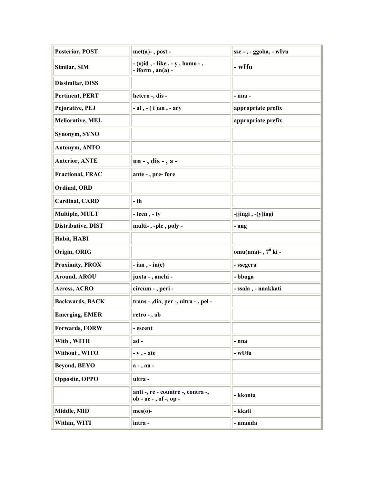| <b>Posterior, POST</b>    | $met(a) -$ , post -                                          | sse - , - ggoba, - wIvu |
|---------------------------|--------------------------------------------------------------|-------------------------|
| Similar, SIM              | - (o)id , - like , - y , homo - ,<br>$-$ iform, an(a) $-$    | - wIfu                  |
| Dissimilar, DISS          |                                                              |                         |
| <b>Pertinent, PERT</b>    | hetero -, dis -                                              | - nna -                 |
| Pejorative, PEJ           | $-$ al $, -$ (i) an $, -$ ary                                | appropriate prefix      |
| <b>Meliorative, MEL</b>   |                                                              | appropriate prefix      |
| Synonym, SYNO             |                                                              |                         |
| Antonym, ANTO             |                                                              |                         |
| <b>Anterior, ANTE</b>     | $un -, dis -, a -$                                           |                         |
| <b>Fractional, FRAC</b>   | ante - , pre- fore                                           |                         |
| Ordinal, ORD              |                                                              |                         |
| <b>Cardinal, CARD</b>     | - th                                                         |                         |
| Multiple, MULT            | $-$ teen, $-$ ty                                             | -jjingi, -(y)ingi       |
| <b>Distributive, DIST</b> | multi-,-ple, poly-                                           | - ang                   |
| Habit, HABI               |                                                              |                         |
| Origin, ORIG              |                                                              | omu(nna)-, $7^0$ ki -   |
| <b>Proximity, PROX</b>    | $-$ ian, $-$ in(e)                                           | - ssegera               |
| <b>Around, AROU</b>       | juxta - , anchi -                                            | - bbuga                 |
| Across, ACRO              | circum - , peri -                                            | - ssala , - nnakkati    |
| <b>Backwards, BACK</b>    | trans - , dia, per -, ultra - , pel -                        |                         |
| <b>Emerging, EMER</b>     | retro - , ab                                                 |                         |
| Forwards, FORW            | - escent                                                     |                         |
| With, WITH                | ad-                                                          | - nna                   |
| Without, WITO             | $- y$ , $- ate$                                              | - wUfu                  |
| <b>Beyond, BEYO</b>       | $a - a$                                                      |                         |
| <b>Opposite, OPPO</b>     | ultra -                                                      |                         |
|                           | anti -, re - countre -, contra -,<br>$ob - oc -, of -, op -$ | - kkonta                |
| Middle, MID               | $mes(o)$ -                                                   | - kkati                 |
| Within, WITI              | intra-                                                       | - nnanda                |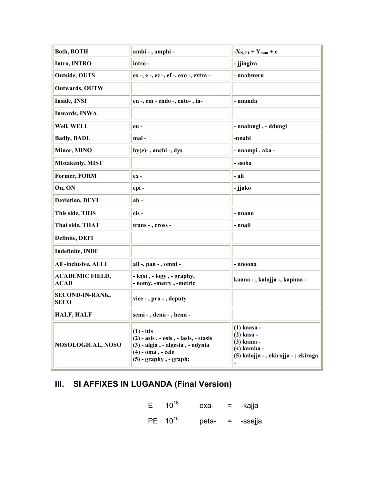| <b>Both, BOTH</b>                     | ambi - , amphi -                                                                                                                                  | $-X_{N.P1} + Y_{num} + e$                                                                      |  |  |  |  |
|---------------------------------------|---------------------------------------------------------------------------------------------------------------------------------------------------|------------------------------------------------------------------------------------------------|--|--|--|--|
| Intro, INTRO                          | intro-                                                                                                                                            | - jjingira                                                                                     |  |  |  |  |
| <b>Outside, OUTS</b>                  | ex -, e -, ec -, ef -, exo -, extra -                                                                                                             | - nnabweru                                                                                     |  |  |  |  |
| Outwards, OUTW                        |                                                                                                                                                   |                                                                                                |  |  |  |  |
| Inside, INSI                          | en -, em - endo -, ento-, in-                                                                                                                     | - nnanda                                                                                       |  |  |  |  |
| <b>Inwards, INWA</b>                  |                                                                                                                                                   |                                                                                                |  |  |  |  |
| Well, WELL                            | eu-                                                                                                                                               | - nnalungi, - ddungi                                                                           |  |  |  |  |
| <b>Badly, BADL</b>                    | mal-                                                                                                                                              | -nnabi                                                                                         |  |  |  |  |
| Minor, MINO                           | by(e)-, anchi-, $dys -$                                                                                                                           | - nnampi , aka -                                                                               |  |  |  |  |
| <b>Mistakenly, MIST</b>               |                                                                                                                                                   | - ssoba                                                                                        |  |  |  |  |
| Former, FORM                          | $ex -$                                                                                                                                            | - ali                                                                                          |  |  |  |  |
| On, ON                                | epi-                                                                                                                                              | - jjako                                                                                        |  |  |  |  |
| <b>Deviation, DEVI</b>                | $ab -$                                                                                                                                            |                                                                                                |  |  |  |  |
| This side, THIS                       | cis-                                                                                                                                              | - nnano                                                                                        |  |  |  |  |
| That side, THAT                       | trans - , cross -                                                                                                                                 | - nnali                                                                                        |  |  |  |  |
| Definite, DEFI                        |                                                                                                                                                   |                                                                                                |  |  |  |  |
| <b>Indefinite, INDE</b>               |                                                                                                                                                   |                                                                                                |  |  |  |  |
| All-inclusive, ALLI                   | all -, pan - , omni -                                                                                                                             | - nnoona                                                                                       |  |  |  |  |
| <b>ACADEMIC FIELD,</b><br><b>ACAD</b> | $-$ ic(s), $-$ logy, $-$ graphy,<br>- nomy, -metry, -metric                                                                                       | kanna - , kalojja -, kapima -                                                                  |  |  |  |  |
| SECOND-IN-RANK,<br><b>SECO</b>        | vice - , pro - , deputy                                                                                                                           |                                                                                                |  |  |  |  |
| <b>HALF, HALF</b>                     | semi - , demi - , hemi -                                                                                                                          |                                                                                                |  |  |  |  |
| NOSOLOGICAL, NOSO                     | $(1)$ - itis<br>$(2)$ - asis, - osis, - iasis, - stasis<br>(3) - algia, - algesia, - odynia<br>$(4)$ - $oma$ , - cele<br>$(5)$ - graphy, - graph; | (1) kaasa -<br>(2) kasa -<br>(3) kama -<br>(4) kamba -<br>(5) kalojja - , ekirojja - ; ekiraga |  |  |  |  |

# III. SI AFFIXES IN LUGANDA (Final Version)

| E | $10^{18}$           | exa-  | $=$                       | -kajja  |
|---|---------------------|-------|---------------------------|---------|
|   | PE 10 <sup>15</sup> | peta- | $\mathbf{r} = \mathbf{r}$ | -ssejja |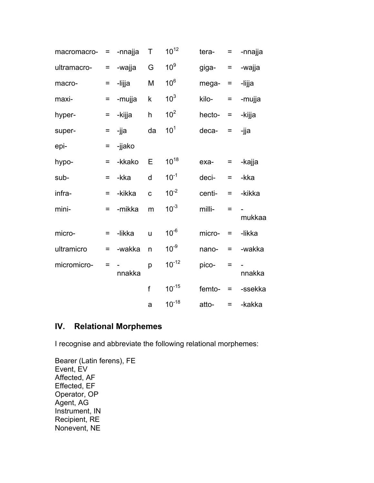| macromacro- | =        | -nnajja | Τ            | $10^{12}$       | tera-  | $\equiv$ | -nnajja |
|-------------|----------|---------|--------------|-----------------|--------|----------|---------|
| ultramacro- | $=$      | -wajja  | G            | 10 <sup>9</sup> | giga-  | $=$      | -wajja  |
| macro-      | Ξ        | -lijja  | M            | $10^6$          | mega-  | Ξ        | -lijja  |
| maxi-       | Ξ        | -mujja  | k            | 10 <sup>3</sup> | kilo-  | $=$      | -mujja  |
| hyper-      | $=$      | -kijja  | h            | 10 <sup>2</sup> | hecto- | $=$      | -kijja  |
| super-      | $=$      | -jja    | da           | 10 <sup>1</sup> | deca-  | $\equiv$ | -jja    |
| epi-        | =        | -jjako  |              |                 |        |          |         |
| hypo-       | $=$      | -kkako  | Ε            | $10^{18}$       | exa-   | $=$      | -kajja  |
| sub-        | $\equiv$ | -kka    | d            | $10^{-1}$       | deci-  | $=$      | -kka    |
| infra-      | $=$      | -kikka  | $\mathbf c$  | $10^{-2}$       | centi- | $=$      | -kikka  |
| mini-       | Ξ        | -mikka  | m            | $10^{-3}$       | milli- | $=$      | mukkaa  |
| micro-      | $=$      | -likka  | u            | $10^{-6}$       | micro- | $\equiv$ | -likka  |
| ultramicro  | $=$      | -wakka  | n            | $10^{-9}$       | nano-  | $\equiv$ | -wakka  |
| micromicro- | =        | nnakka  | p            | $10^{-12}$      | pico-  | $=$      | nnakka  |
|             |          |         | $\mathsf{f}$ | $10^{-15}$      | femto- | $=$      | -ssekka |
|             |          |         | a            | $10^{-18}$      | atto-  | $=$      | -kakka  |

### **IV. Relational Morphemes**

I recognise and abbreviate the following relational morphemes:

Bearer (Latin ferens), FE Event, EV Affected, AF Effected, EF Operator, OP Agent, AG Instrument, IN Recipient, RE Nonevent, NE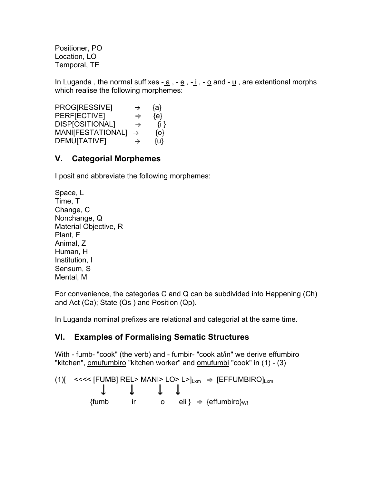Positioner, PO Location, LO Temporal, TE

In Luganda, the normal suffixes  $-\underline{a}$ ,  $-\underline{e}$ ,  $-\underline{i}$ ,  $-\underline{o}$  and  $-\underline{u}$ , are extentional morphs which realise the following morphemes:

PROG[RESSIVE]  $\rightarrow$  {a}  $PERF[ECTIVE] \rightarrow {e}$  $DISP[OSITIONAL]$   $\rightarrow$  {i }  $MANIFESTATIONAL$ ]  $\rightarrow$  {o}  $DEMU[TATIVE]$   $\rightarrow$  {u}

# **V. Categorial Morphemes**

I posit and abbreviate the following morphemes:

```
Space, L 
Time, T 
Change, C 
Nonchange, Q 
Material Objective, R 
Plant, F 
Animal, Z 
Human, H 
Institution, I 
Sensum, S 
Mental, M
```
For convenience, the categories C and Q can be subdivided into Happening (Ch) and Act (Ca); State (Qs ) and Position (Qp).

In Luganda nominal prefixes are relational and categorial at the same time.

#### **VI. Examples of Formalising Sematic Structures**

With - <u>fumb</u>- "cook" (the verb) and - <u>fumbir</u>- "cook at/in" we derive effumbiro "kitchen", omufumbiro "kitchen worker" and omufumbi "cook" in (1) - (3)

(1)[ < < < < [FUMB] REL> MANI> LO> L>]<sub>Lxm</sub> → [EFFUMBIRO]<sub>Lxm</sub>  
\n
$$
\downarrow \qquad \qquad \downarrow \qquad \qquad \downarrow \qquad \qquad \downarrow
$$
\n{fumb\n\n
$$
\qquad \qquad \text{if } \qquad \qquad \text{or} \qquad \text{if } \} \Rightarrow \{\text{effumbiro}\}_{\text{Wf}}
$$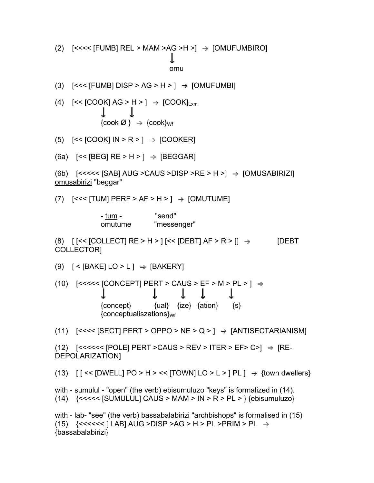$\{ \text{cook } \varnothing \}$   $\rightarrow$   $\{ \text{cook} \}_{\text{Wf}}$ (5)  $[< [COOK] IN > R > ] \rightarrow [COOKER]$ (6a)  $\left[<<\left[\text{BEG}\right] \text{RE} > H > \right] \rightarrow \left[\text{BEGGAR}\right]$ (6b)  $\left[ \left\langle \times \left\langle \times \right\rangle \left[ SAB\right] AUG > CAUS > DISP > RE > H > \right] \rightarrow \left[ OMUSABIRIZI\right]$ omusabirizi "beggar" (7)  $[<<|TUM|$  PERF > AF > H >  $] \rightarrow [OMUTUME]$ - tum - "send" omutume "messenger" (8)  $[$  [<< [COLLECT] RE > H > ] [<< [DEBT] AF > R > ]]  $\rightarrow$  [DEBT COLLECTOR] (9)  $[  $\sqrt{\text{BAKE}} \cup 0 > L \rightarrow \sqrt{\text{BAKERY}}$$ (10)  $[\leq \leq \leq \leq$  [CONCEPT] PERT > CAUS > EF > M > PL >  $]\rightarrow$ J.  $\mathbf{L}$  $\mathbf{J}_{\mathbf{r}}$  ${concept}$  {ual}  ${ize}$  {ation}  ${s}$  ${conceptual} is zations<sub>Wf</sub>$ (11)  $[\leq \leq \leq$  [SECT] PERT > OPPO > NE > Q > ]  $\rightarrow$  [ANTISECTARIANISM]  $(12)$  [<<<<<< [POLE] PERT >CAUS > REV > ITER > EF> C>]  $\rightarrow$  [RE-DEPOLARIZATION] (13)  $[$   $[$  <<  $[DWELL]$  PO > H > <<  $[TOWN]$  LO > L >  $]$  PL  $]$   $\rightarrow$   $\{town$  dwellers $\}$ with - sumulul - "open" (the verb) ebisumuluzo "keys" is formalized in (14). (14)  $\{<<\lt\lt[SUMULUL] CAUS > MAM > IN > R > PL > \}$  {ebisumuluzo} with - lab- "see" (the verb) bassabalabirizi "archbishops" is formalised in (15)  $(15)$  {<<<<<< [LAB] AUG >DISP >AG > H > PL >PRIM > PL  $\Rightarrow$ {bassabalabirizi}

(3) 
$$
[<< [FUMB] DISP > AG > H > ] \rightarrow [OMUFUMBI]
$$

(4)  $[\ll]$  [COOK] AG > H > ]  $\Rightarrow$   $[COOK]_{Lxm}$ 

J.

$$
\overset{\textcolor{red}{\blacktriangle}}{\mathsf{omu}}
$$

(2)  $[\leq \leq \leq$  [FUMB] REL > MAM >AG >H >]  $\Rightarrow$  [OMUFUMBIRO]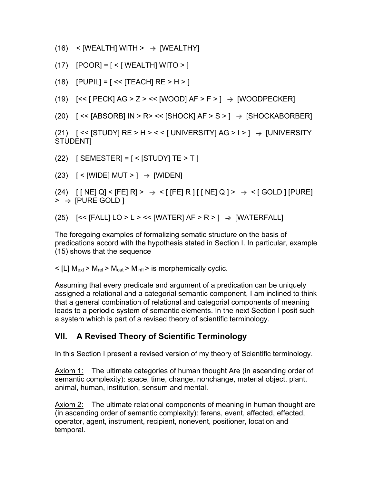$(16)$  < [WEALTH] WITH >  $\rightarrow$  [WEALTHY]

- $(17)$  [POOR] =  $\lceil$  < [ WEALTH] WITO > ]
- $(18)$  [PUPIL] = [ << [TEACH] RE > H > ]

(19)  $[\ll]$  [PECK] AG > Z > << [WOOD] AF > F > ]  $\Rightarrow$  [WOODPECKER]

 $(20)$  [ << [ABSORB] IN > R> << [SHOCK] AF > S > ]  $\rightarrow$  [SHOCKABORBER]

(21)  $\left[ \left\langle \times \right| \left\langle \text{STUDY} \right| \left\langle \text{RE} \right\rangle \times \left\langle \times \right| \left\langle \text{UNIVERSITY} \right| \left\langle \text{AG} \right\rangle \right] \rightarrow \left[ \text{UNIVERSITY} \right]$ STUDENT]

(22)  $[$  SEMESTER] =  $[$  <  $[$ STUDY] TE > T  $]$ 

 $(23)$  [ < [WIDE] MUT > ]  $\Rightarrow$  [WIDEN]

 $(24)$  [ [ NE] Q] < [FE] R] >  $\Rightarrow$  < [ [FE] R ] [ [ NE] Q ] >  $\Rightarrow$  < [ GOLD ] [PURE]  $>$   $\rightarrow$  [PURE GOLD ]

(25)  $\left[ \left\langle \times \right\rangle$  [FALL]  $\left[ \left\langle 0 \right\rangle \right]$  >  $\left\langle \times \right\rangle$  [WATERFALL]

The foregoing examples of formalizing sematic structure on the basis of predications accord with the hypothesis stated in Section I. In particular, example (15) shows that the sequence

 $\leq$  [L] M<sub>ext</sub> > M<sub>rel</sub> > M<sub>cat</sub> > M<sub>infl</sub> > is morphemically cyclic.

Assuming that every predicate and argument of a predication can be uniquely assigned a relational and a categorial semantic component, I am inclined to think that a general combination of relational and categorial components of meaning leads to a periodic system of semantic elements. In the next Section I posit such a system which is part of a revised theory of scientific terminology.

#### **VII. A Revised Theory of Scientific Terminology**

In this Section I present a revised version of my theory of Scientific terminology.

Axiom 1: The ultimate categories of human thought Are (in ascending order of semantic complexity): space, time, change, nonchange, material object, plant, animal, human, institution, sensum and mental.

Axiom 2: The ultimate relational components of meaning in human thought are (in ascending order of semantic complexity): ferens, event, affected, effected, operator, agent, instrument, recipient, nonevent, positioner, location and temporal.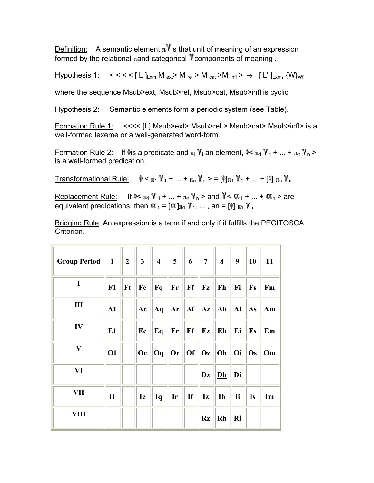Definition: A semantic element  $\pi$ <sup>y</sup> is that unit of meaning of an expression formed by the relational  $\text{rand}$  categorical  $\gamma$  components of meaning.

 $<<$  <  $\vert$  L  $\vert$ <sub>Lxm</sub> M <sub>ext</sub>> M <sub>rel</sub> > M <sub>cat</sub> > M <sub>lnfl</sub> >  $\rightarrow$  [ L'  $\vert$ <sub>Lxm</sub>, {W}<sub>Wf</sub> Hypothesis 1:

where the sequence Msub>ext, Msub>rel, Msub>cat, Msub>infl is cyclic

Hypothesis 2: Semantic elements form a periodic system (see Table).

Formation Rule 1: <<<< [L] Msub>ext> Msub>rel > Msub>cat> Msub>infl> is a well-formed lexeme or a well-generated word-form.

Formation Rule 2: If  $\psi$ is a predicate and  $\mu_i$   $\gamma_i$  an element,  $\psi$ <  $\mu_1$   $\gamma_1$  + ... +  $\mu_n$   $\gamma_n$  > is a well-formed predication.

 $\phi$  <  $\pi_1$   $\gamma_1$  + ... +  $\pi_0$   $\gamma_0$  > =  $[\phi]_{\pi_1}$   $\gamma_1$  + ... +  $[\phi]_{\pi_0}$   $\gamma_0$ **Transformational Rule:** 

Replacement Rule: If  $\approx \pi_1 \gamma_1 + ... + \pi_n \gamma_n$  and  $\gamma < \alpha_1 + ... + \alpha_n$  are equivalent predications, then  $\alpha_1 = [\alpha]_{\pi_1} \gamma_1, \dots$ , an =  $[\phi]_{\pi_1} \gamma_n$ 

Bridging Rule: An expression is a term if and only if it fulfills the PEGITOSCA Criterion.

| <b>Group Period</b> | $\mathbf{1}$ | $2^{\circ}$ | 3 <sup>1</sup> | $\overline{4}$ | $5\overline{)}$ | 6  | $7\overline{ }$   | 8              | 9         | 10        | 11 |
|---------------------|--------------|-------------|----------------|----------------|-----------------|----|-------------------|----------------|-----------|-----------|----|
| $\mathbf I$         | F1           | Ft          | Fe             | Fq             | $\mathbf{F}$ r  | Ff | ${\bf F} {\bf z}$ | Fh             | Fi        | <b>Fs</b> | Fm |
| Ш                   | ${\bf A1}$   |             | Ac             | Aq             | Ar              | Af | $ {\bf Az} $      | Ah             | Ai        | As        | Am |
| IV                  | E1           |             | Ec             | Eq             | $E_{r}$         | Ef | Ez                | Eh             | Ei        | Es        | Em |
| $\bar{\mathbf{V}}$  | <b>O1</b>    |             | Oc             | Oq             | <b>Or</b>       | 0f | <b>Oz</b>         | Oh             | Oi        | Os        | Om |
| VI                  |              |             |                |                |                 |    | Dz                | D <sub>h</sub> | Di        |           |    |
| VII                 | $\mathbf{I}$ |             | Ic             | Iq             | Ir              | If | Iz                | <b>Ih</b>      | <b>Ii</b> | Is        | Im |
| <b>VIII</b>         |              |             |                |                |                 |    | <b>Rz</b>         | <b>Rh</b>      | Ri        |           |    |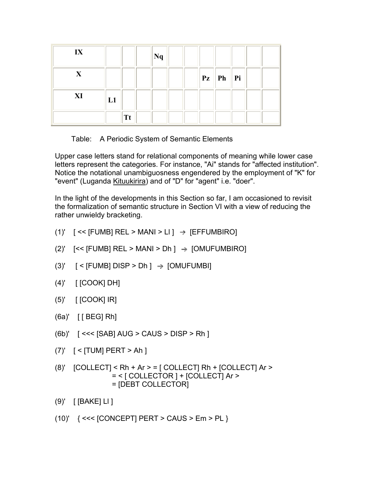| IX          |           | Nq |  |                                     |        |  |
|-------------|-----------|----|--|-------------------------------------|--------|--|
| $\mathbf X$ |           |    |  | $\mathbf{P}z \parallel \mathbf{Ph}$ | $ $ Pi |  |
| XI          | L1        |    |  |                                     |        |  |
|             | <b>Tt</b> |    |  |                                     |        |  |

Table: A Periodic System of Semantic Elements

Upper case letters stand for relational components of meaning while lower case letters represent the categories. For instance, "Ai" stands for "affected institution". Notice the notational unambiguosness engendered by the employment of "K" for "event" (Luganda Kituukirira) and of "D" for "agent" i.e. "doer".

In the light of the developments in this Section so far, I am occasioned to revisit the formalization of semantic structure in Section VI with a view of reducing the rather unwieldy bracketing.

- (1)'  $[<< [FUMB] REL > MANI > LI]$   $\rightarrow$   $[EFFUMBIRO]$
- (2)'  $\left[ \leq \left[ \text{FUMB} \right] \text{ REL} > \text{MANI} > \text{Dh} \right] \rightarrow \left[ \text{OMUFUMBIRO} \right]$
- (3)'  $\lceil$  < [FUMB] DISP > Dh  $\rceil$   $\rightarrow$  [OMUFUMBI]
- (4)' [ [COOK] DH]
- $(5)'$  [  $[COOK]$   $IR]$
- $(6a)'$  [ [ BEG] Rh]
- (6b)' [ <<< [SAB] AUG > CAUS > DISP > Rh ]
- (7)' [ < [TUM] PERT > Ah ]
- $(8)'$  [COLLECT] < Rh + Ar > = [ COLLECT] Rh + [COLLECT] Ar > = < [ COLLECTOR ] + [COLLECT] Ar > = [DEBT COLLECTOR]
- (9)' [ [BAKE] Ll ]
- (10)' { <<< [CONCEPT] PERT > CAUS > Em > PL }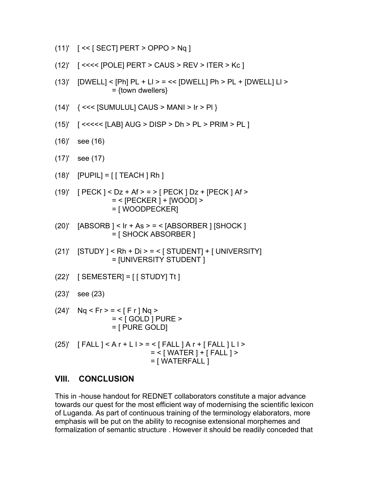$$
(11)' \quad [\leq \leq [\text{SECTION } PERT > \text{OPPO} > \text{Nq} ]
$$

(12)' [ <<<< [POLE] PERT > CAUS > REV > ITER > Kc ]

(15)' [ <<<<< [LAB] AUG > DISP > Dh > PL > PRIM > PL ]

 $=$  {town dwellers}

(14)' { <<< [SUMULUL] CAUS > MANI > Ir > Pl }

(13)'  $[DWELL] < [Ph] PL + LI > = << [DWELL] Ph > PL + [DWELL] LI >$ 

(17)' see (17) (18)' [PUPIL] = [ [ TEACH ] Rh ] (19)' [ PECK ] < Dz + Af > = > [ PECK ] Dz + [PECK ] Af > = < [PECKER ] + [WOOD] > = [ WOODPECKER] (20)' [ABSORB ] < Ir + As > = < [ABSORBER ] [SHOCK ] = [ SHOCK ABSORBER ] (21)' [STUDY ] < Rh + Di > = < [ STUDENT] + [ UNIVERSITY] = [UNIVERSITY STUDENT ] (22)' [ SEMESTER] = [ [ STUDY] Tt ] (23)' see (23) (24)' Nq < Fr > = < [ F r ] Nq > = < [ GOLD ] PURE > = [ PURE GOLD] (25)' [ FALL ] < A r + L l > = < [ FALL ] A r + [ FALL ] L l > = < [ WATER ] + [ FALL ] > = [ WATERFALL ]

#### **VIII. CONCLUSION**

(16)' see (16)

This in -house handout for REDNET collaborators constitute a major advance towards our quest for the most efficient way of modernising the scientific lexicon of Luganda. As part of continuous training of the terminology elaborators, more emphasis will be put on the ability to recognise extensional morphemes and formalization of semantic structure . However it should be readily conceded that